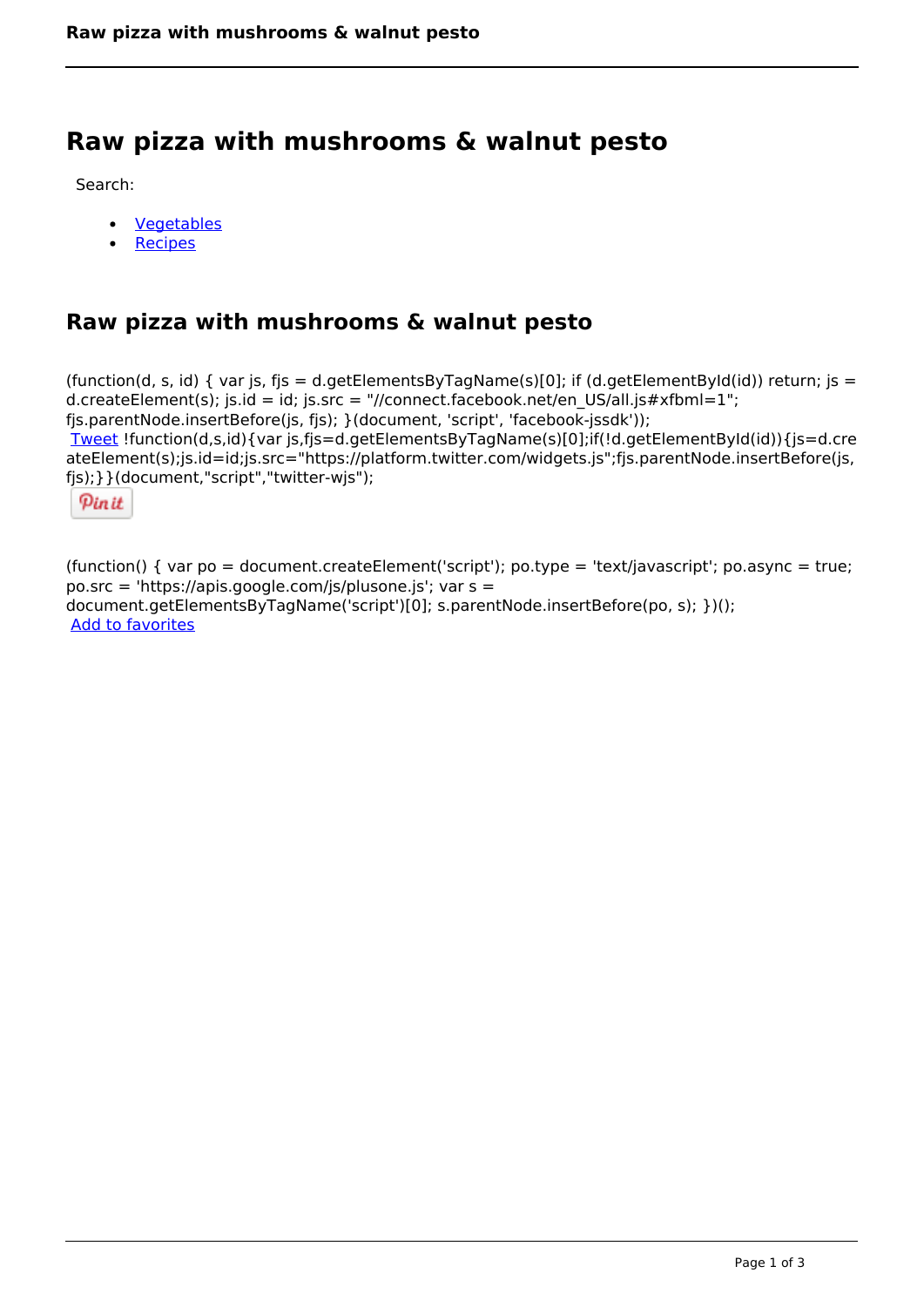# **Raw pizza with mushrooms & walnut pesto**

Search:

- **[Vegetables](https://www.naturalhealthmag.com.au/nourish/veg)**  $\bullet$
- [Recipes](https://www.naturalhealthmag.com.au/nourish/recipes)

# **Raw pizza with mushrooms & walnut pesto**

(function(d, s, id) { var js, fjs = d.getElementsByTagName(s)[0]; if (d.getElementById(id)) return; js = d.createElement(s); js.id = id; js.src = "//connect.facebook.net/en\_US/all.js#xfbml=1"; fjs.parentNode.insertBefore(js, fjs); }(document, 'script', 'facebook-jssdk')); [Tweet](https://twitter.com/share) !function(d,s,id){var js,fjs=d.getElementsByTagName(s)[0];if(!d.getElementById(id)){js=d.cre ateElement(s);js.id=id;js.src="https://platform.twitter.com/widgets.js";fjs.parentNode.insertBefore(js, fjs);}}(document,"script","twitter-wjs");

Pinit

(function() { var po = document.createElement('script'); po.type = 'text/javascript'; po.async = true; po.src = 'https://apis.google.com/js/plusone.js'; var s = document.getElementsByTagName('script')[0]; s.parentNode.insertBefore(po, s); })(); Add to favorites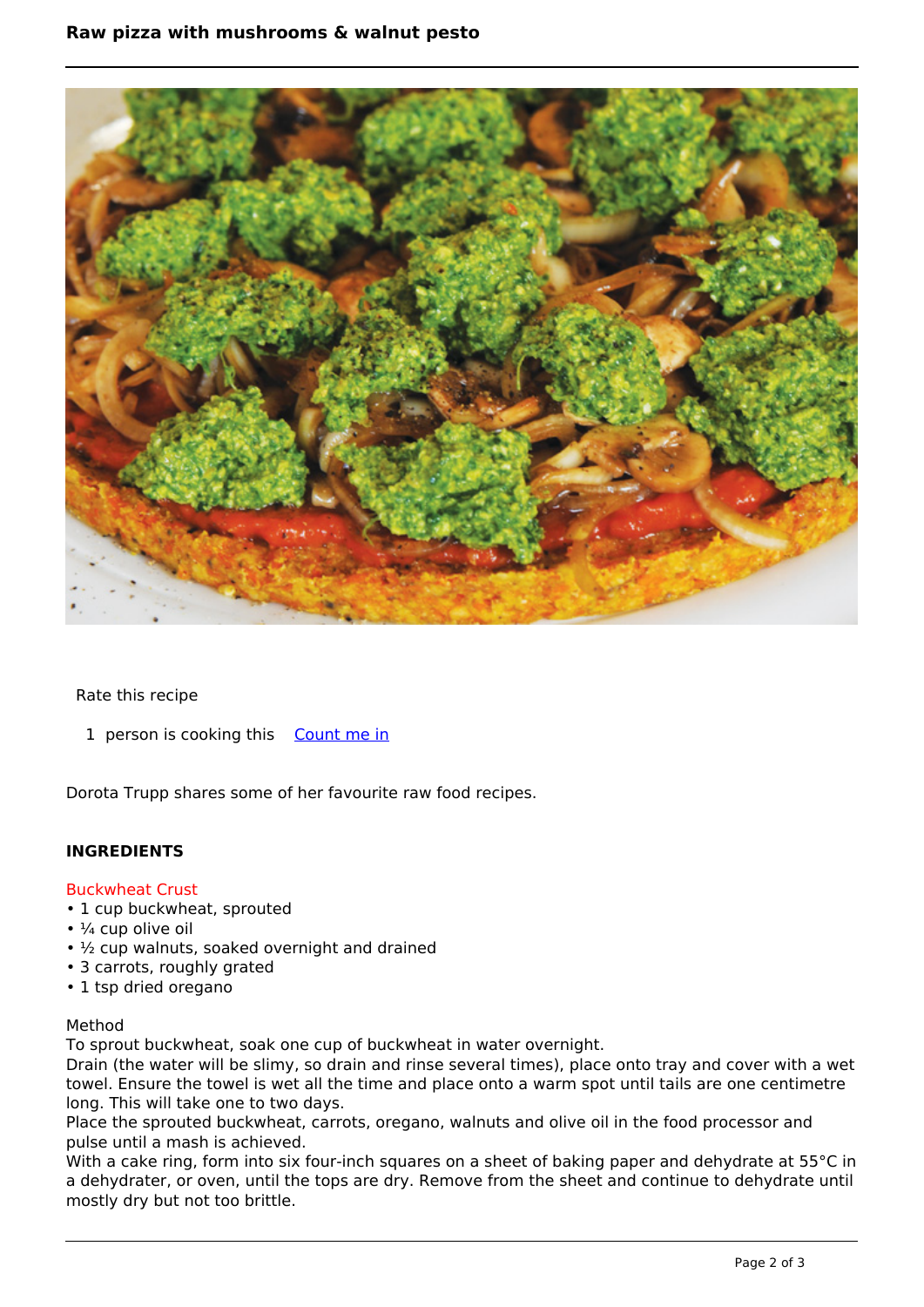# **Raw pizza with mushrooms & walnut pesto**



Rate this recipe

1 person is cooking this [Count me in](https://www.naturalhealthmag.com.au/flag/flag/favorites/738?destination=printpdf%2F738&token=6a0910889092f311e1a4f4bfa2f00b26)

Dorota Trupp shares some of her favourite raw food recipes.

# **INGREDIENTS**

#### Buckwheat Crust

- 1 cup buckwheat, sprouted
- $\cdot$   $\frac{1}{4}$  cup olive oil
- ½ cup walnuts, soaked overnight and drained
- 3 carrots, roughly grated
- 1 tsp dried oregano

# Method

To sprout buckwheat, soak one cup of buckwheat in water overnight.

Drain (the water will be slimy, so drain and rinse several times), place onto tray and cover with a wet towel. Ensure the towel is wet all the time and place onto a warm spot until tails are one centimetre long. This will take one to two days.

Place the sprouted buckwheat, carrots, oregano, walnuts and olive oil in the food processor and pulse until a mash is achieved.

With a cake ring, form into six four-inch squares on a sheet of baking paper and dehydrate at 55°C in a dehydrater, or oven, until the tops are dry. Remove from the sheet and continue to dehydrate until mostly dry but not too brittle.